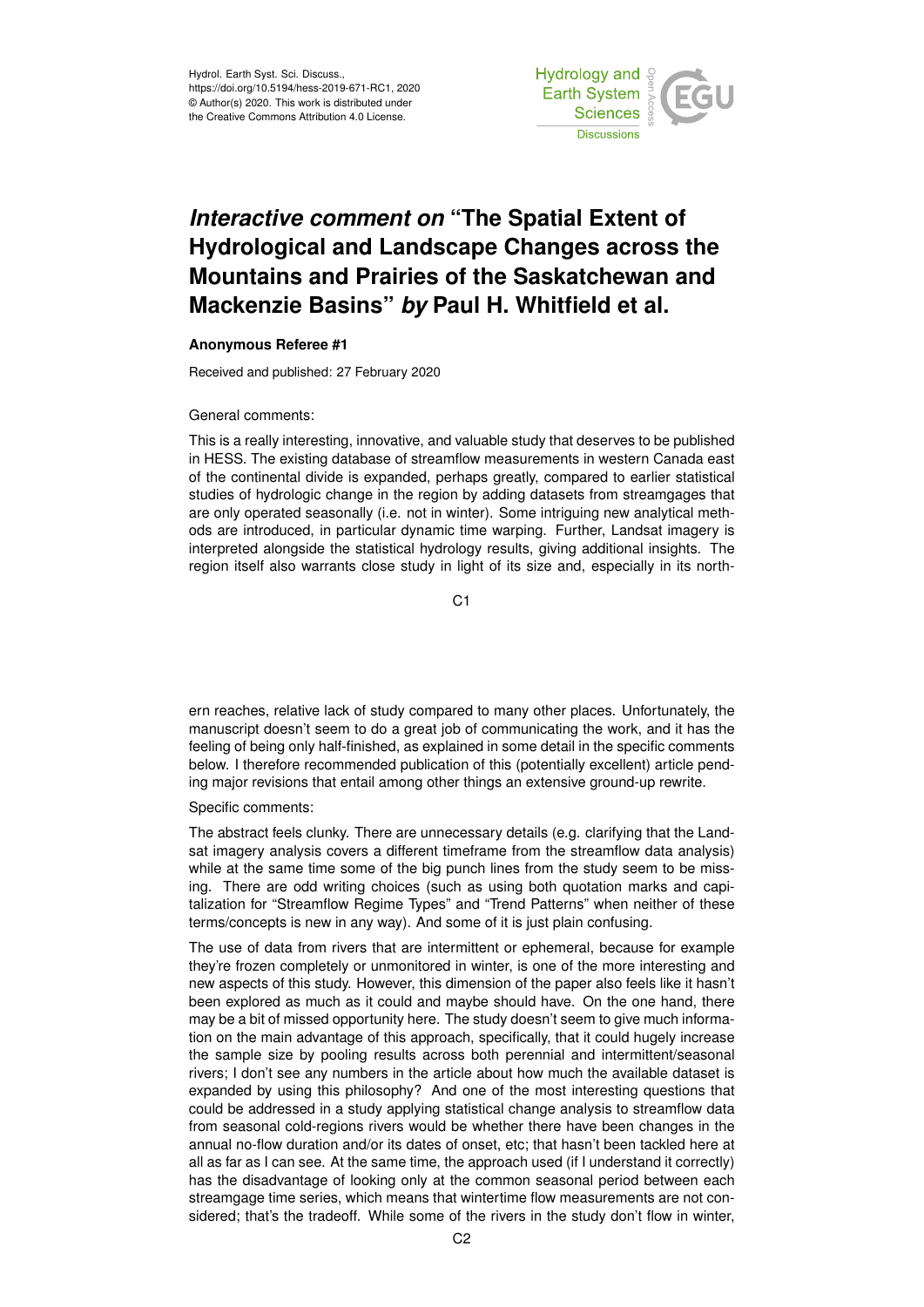Hydrol. Earth Syst. Sci. Discuss., https://doi.org/10.5194/hess-2019-671-RC1, 2020 © Author(s) 2020. This work is distributed under the Creative Commons Attribution 4.0 License.



## *Interactive comment on* **"The Spatial Extent of Hydrological and Landscape Changes across the Mountains and Prairies of the Saskatchewan and Mackenzie Basins"** *by* **Paul H. Whitfield et al.**

## **Anonymous Referee #1**

Received and published: 27 February 2020

## General comments:

This is a really interesting, innovative, and valuable study that deserves to be published in HESS. The existing database of streamflow measurements in western Canada east of the continental divide is expanded, perhaps greatly, compared to earlier statistical studies of hydrologic change in the region by adding datasets from streamgages that are only operated seasonally (i.e. not in winter). Some intriguing new analytical methods are introduced, in particular dynamic time warping. Further, Landsat imagery is interpreted alongside the statistical hydrology results, giving additional insights. The region itself also warrants close study in light of its size and, especially in its north-

C1

ern reaches, relative lack of study compared to many other places. Unfortunately, the manuscript doesn't seem to do a great job of communicating the work, and it has the feeling of being only half-finished, as explained in some detail in the specific comments below. I therefore recommended publication of this (potentially excellent) article pending major revisions that entail among other things an extensive ground-up rewrite.

## Specific comments:

The abstract feels clunky. There are unnecessary details (e.g. clarifying that the Landsat imagery analysis covers a different timeframe from the streamflow data analysis) while at the same time some of the big punch lines from the study seem to be missing. There are odd writing choices (such as using both quotation marks and capitalization for "Streamflow Regime Types" and "Trend Patterns" when neither of these terms/concepts is new in any way). And some of it is just plain confusing.

The use of data from rivers that are intermittent or ephemeral, because for example they're frozen completely or unmonitored in winter, is one of the more interesting and new aspects of this study. However, this dimension of the paper also feels like it hasn't been explored as much as it could and maybe should have. On the one hand, there may be a bit of missed opportunity here. The study doesn't seem to give much information on the main advantage of this approach, specifically, that it could hugely increase the sample size by pooling results across both perennial and intermittent/seasonal rivers; I don't see any numbers in the article about how much the available dataset is expanded by using this philosophy? And one of the most interesting questions that could be addressed in a study applying statistical change analysis to streamflow data from seasonal cold-regions rivers would be whether there have been changes in the annual no-flow duration and/or its dates of onset, etc; that hasn't been tackled here at all as far as I can see. At the same time, the approach used (if I understand it correctly) has the disadvantage of looking only at the common seasonal period between each streamgage time series, which means that wintertime flow measurements are not considered; that's the tradeoff. While some of the rivers in the study don't flow in winter,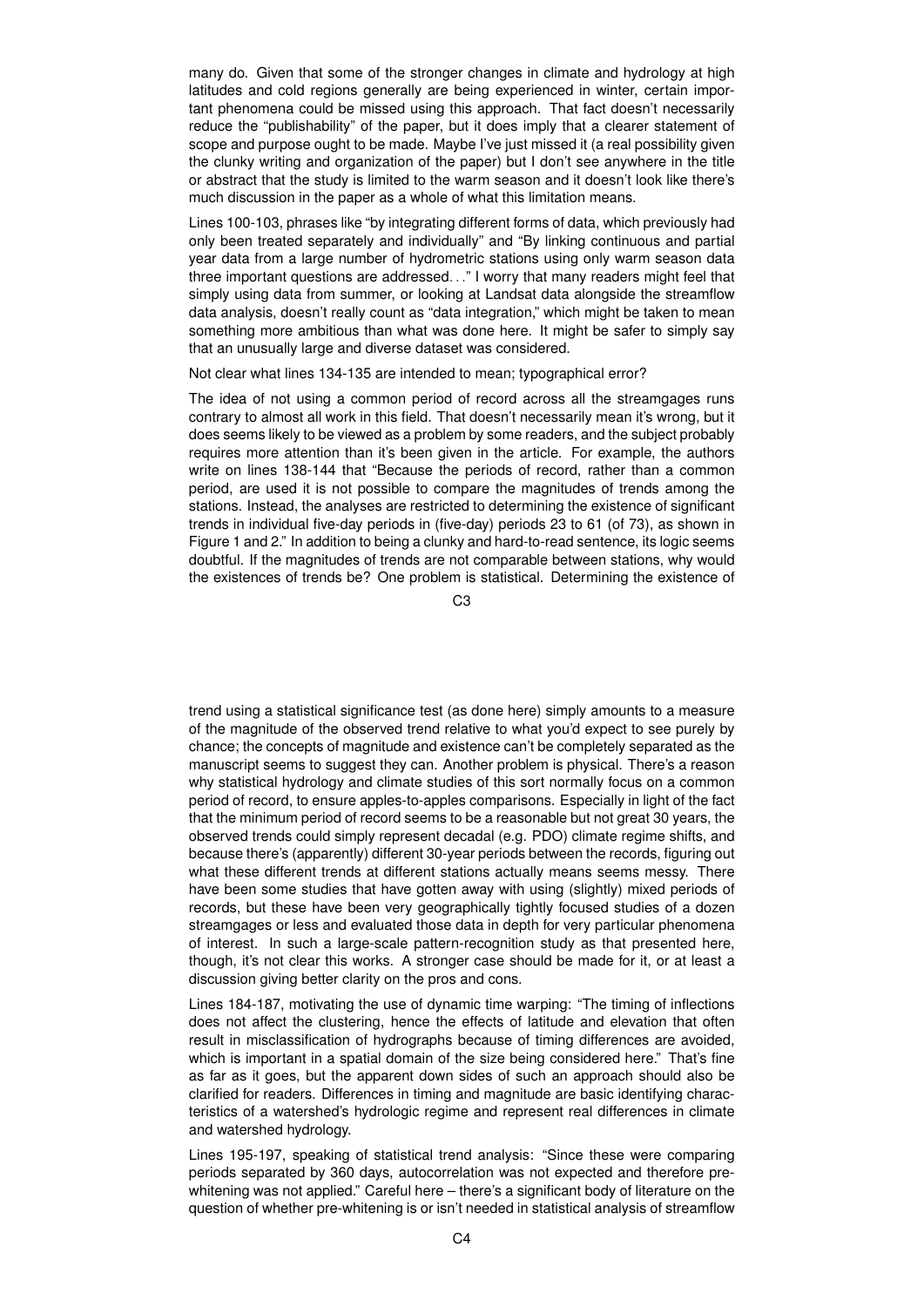many do. Given that some of the stronger changes in climate and hydrology at high latitudes and cold regions generally are being experienced in winter, certain important phenomena could be missed using this approach. That fact doesn't necessarily reduce the "publishability" of the paper, but it does imply that a clearer statement of scope and purpose ought to be made. Maybe I've just missed it (a real possibility given the clunky writing and organization of the paper) but I don't see anywhere in the title or abstract that the study is limited to the warm season and it doesn't look like there's much discussion in the paper as a whole of what this limitation means.

Lines 100-103, phrases like "by integrating different forms of data, which previously had only been treated separately and individually" and "By linking continuous and partial year data from a large number of hydrometric stations using only warm season data three important questions are addressed. . ." I worry that many readers might feel that simply using data from summer, or looking at Landsat data alongside the streamflow data analysis, doesn't really count as "data integration," which might be taken to mean something more ambitious than what was done here. It might be safer to simply say that an unusually large and diverse dataset was considered.

Not clear what lines 134-135 are intended to mean; typographical error?

The idea of not using a common period of record across all the streamgages runs contrary to almost all work in this field. That doesn't necessarily mean it's wrong, but it does seems likely to be viewed as a problem by some readers, and the subject probably requires more attention than it's been given in the article. For example, the authors write on lines 138-144 that "Because the periods of record, rather than a common period, are used it is not possible to compare the magnitudes of trends among the stations. Instead, the analyses are restricted to determining the existence of significant trends in individual five-day periods in (five-day) periods 23 to 61 (of 73), as shown in Figure 1 and 2." In addition to being a clunky and hard-to-read sentence, its logic seems doubtful. If the magnitudes of trends are not comparable between stations, why would the existences of trends be? One problem is statistical. Determining the existence of

C3

trend using a statistical significance test (as done here) simply amounts to a measure of the magnitude of the observed trend relative to what you'd expect to see purely by chance; the concepts of magnitude and existence can't be completely separated as the manuscript seems to suggest they can. Another problem is physical. There's a reason why statistical hydrology and climate studies of this sort normally focus on a common period of record, to ensure apples-to-apples comparisons. Especially in light of the fact that the minimum period of record seems to be a reasonable but not great 30 years, the observed trends could simply represent decadal (e.g. PDO) climate regime shifts, and because there's (apparently) different 30-year periods between the records, figuring out what these different trends at different stations actually means seems messy. There have been some studies that have gotten away with using (slightly) mixed periods of records, but these have been very geographically tightly focused studies of a dozen streamgages or less and evaluated those data in depth for very particular phenomena of interest. In such a large-scale pattern-recognition study as that presented here, though, it's not clear this works. A stronger case should be made for it, or at least a discussion giving better clarity on the pros and cons.

Lines 184-187, motivating the use of dynamic time warping: "The timing of inflections does not affect the clustering, hence the effects of latitude and elevation that often result in misclassification of hydrographs because of timing differences are avoided, which is important in a spatial domain of the size being considered here." That's fine as far as it goes, but the apparent down sides of such an approach should also be clarified for readers. Differences in timing and magnitude are basic identifying characteristics of a watershed's hydrologic regime and represent real differences in climate and watershed hydrology.

Lines 195-197, speaking of statistical trend analysis: "Since these were comparing periods separated by 360 days, autocorrelation was not expected and therefore prewhitening was not applied." Careful here – there's a significant body of literature on the question of whether pre-whitening is or isn't needed in statistical analysis of streamflow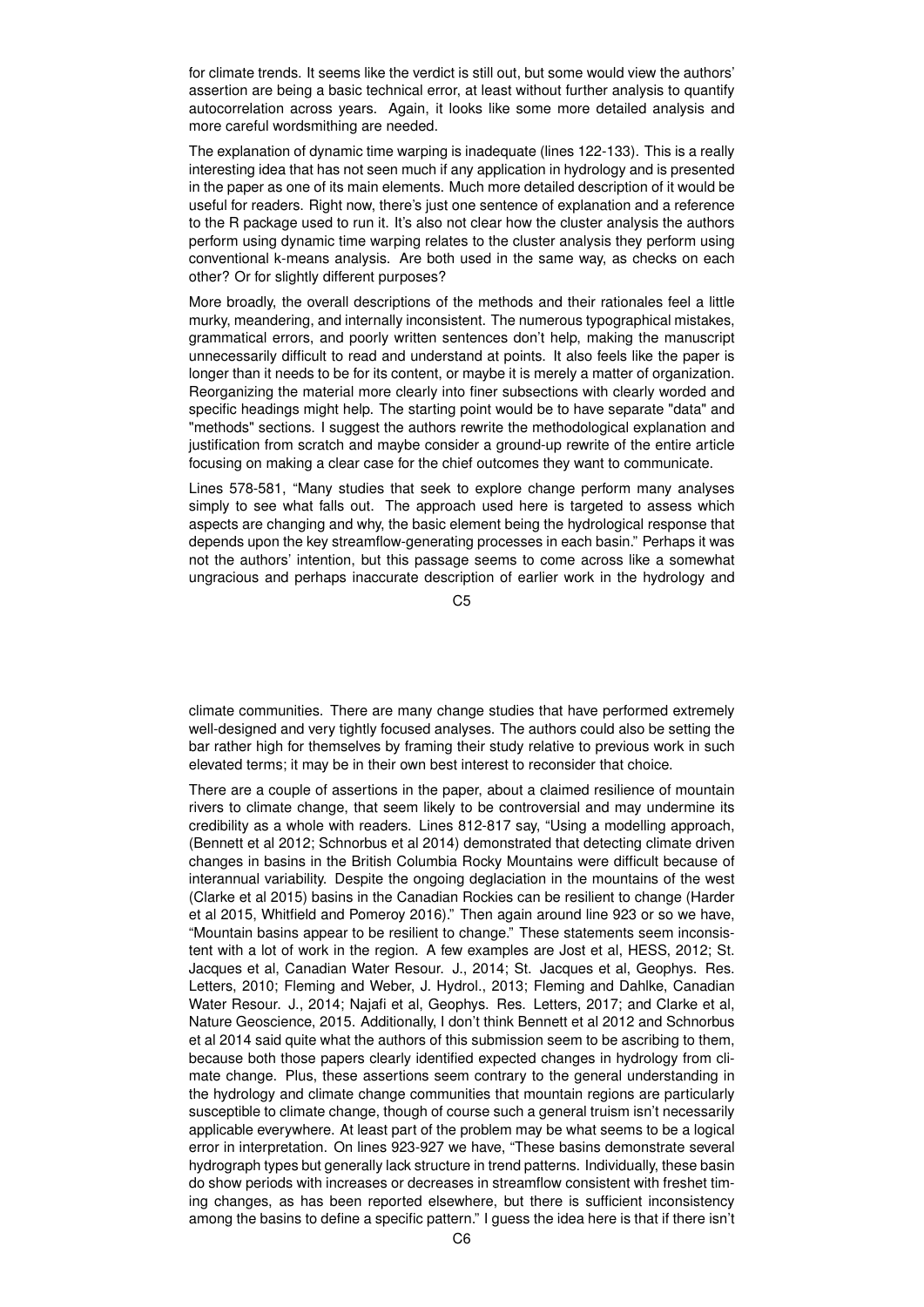for climate trends. It seems like the verdict is still out, but some would view the authors' assertion are being a basic technical error, at least without further analysis to quantify autocorrelation across years. Again, it looks like some more detailed analysis and more careful wordsmithing are needed.

The explanation of dynamic time warping is inadequate (lines 122-133). This is a really interesting idea that has not seen much if any application in hydrology and is presented in the paper as one of its main elements. Much more detailed description of it would be useful for readers. Right now, there's just one sentence of explanation and a reference to the R package used to run it. It's also not clear how the cluster analysis the authors perform using dynamic time warping relates to the cluster analysis they perform using conventional k-means analysis. Are both used in the same way, as checks on each other? Or for slightly different purposes?

More broadly, the overall descriptions of the methods and their rationales feel a little murky, meandering, and internally inconsistent. The numerous typographical mistakes, grammatical errors, and poorly written sentences don't help, making the manuscript unnecessarily difficult to read and understand at points. It also feels like the paper is longer than it needs to be for its content, or maybe it is merely a matter of organization. Reorganizing the material more clearly into finer subsections with clearly worded and specific headings might help. The starting point would be to have separate "data" and "methods" sections. I suggest the authors rewrite the methodological explanation and justification from scratch and maybe consider a ground-up rewrite of the entire article focusing on making a clear case for the chief outcomes they want to communicate.

Lines 578-581, "Many studies that seek to explore change perform many analyses simply to see what falls out. The approach used here is targeted to assess which aspects are changing and why, the basic element being the hydrological response that depends upon the key streamflow-generating processes in each basin." Perhaps it was not the authors' intention, but this passage seems to come across like a somewhat ungracious and perhaps inaccurate description of earlier work in the hydrology and

C5

climate communities. There are many change studies that have performed extremely well-designed and very tightly focused analyses. The authors could also be setting the bar rather high for themselves by framing their study relative to previous work in such elevated terms; it may be in their own best interest to reconsider that choice.

There are a couple of assertions in the paper, about a claimed resilience of mountain rivers to climate change, that seem likely to be controversial and may undermine its credibility as a whole with readers. Lines 812-817 say, "Using a modelling approach, (Bennett et al 2012; Schnorbus et al 2014) demonstrated that detecting climate driven changes in basins in the British Columbia Rocky Mountains were difficult because of interannual variability. Despite the ongoing deglaciation in the mountains of the west (Clarke et al 2015) basins in the Canadian Rockies can be resilient to change (Harder et al 2015, Whitfield and Pomeroy 2016)." Then again around line 923 or so we have, "Mountain basins appear to be resilient to change." These statements seem inconsistent with a lot of work in the region. A few examples are Jost et al, HESS, 2012; St. Jacques et al, Canadian Water Resour. J., 2014; St. Jacques et al, Geophys. Res. Letters, 2010; Fleming and Weber, J. Hydrol., 2013; Fleming and Dahlke, Canadian Water Resour. J., 2014; Najafi et al, Geophys. Res. Letters, 2017; and Clarke et al, Nature Geoscience, 2015. Additionally, I don't think Bennett et al 2012 and Schnorbus et al 2014 said quite what the authors of this submission seem to be ascribing to them, because both those papers clearly identified expected changes in hydrology from climate change. Plus, these assertions seem contrary to the general understanding in the hydrology and climate change communities that mountain regions are particularly susceptible to climate change, though of course such a general truism isn't necessarily applicable everywhere. At least part of the problem may be what seems to be a logical error in interpretation. On lines 923-927 we have, "These basins demonstrate several hydrograph types but generally lack structure in trend patterns. Individually, these basin do show periods with increases or decreases in streamflow consistent with freshet timing changes, as has been reported elsewhere, but there is sufficient inconsistency among the basins to define a specific pattern." I guess the idea here is that if there isn't